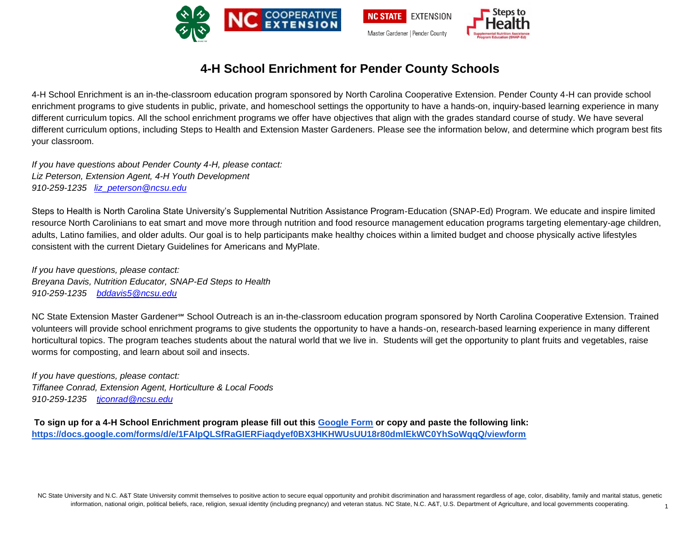

## **4-H School Enrichment for Pender County Schools**

4-H School Enrichment is an in-the-classroom education program sponsored by North Carolina Cooperative Extension. Pender County 4-H can provide school enrichment programs to give students in public, private, and homeschool settings the opportunity to have a hands-on, inquiry-based learning experience in many different curriculum topics. All the school enrichment programs we offer have objectives that align with the grades standard course of study. We have several different curriculum options, including Steps to Health and Extension Master Gardeners. Please see the information below, and determine which program best fits your classroom.

*If you have questions about Pender County 4-H, please contact: Liz Peterson, Extension Agent, 4-H Youth Development 910-259-1235 [liz\\_peterson@ncsu.edu](mailto:liz_peterson@ncsu.edu)*

Steps to Health is North Carolina State University's Supplemental Nutrition Assistance Program-Education (SNAP-Ed) Program. We educate and inspire limited resource North Carolinians to eat smart and move more through nutrition and food resource management education programs targeting elementary-age children, adults, Latino families, and older adults. Our goal is to help participants make healthy choices within a limited budget and choose physically active lifestyles consistent with the current Dietary Guidelines for Americans and MyPlate.

*If you have questions, please contact: Breyana Davis, Nutrition Educator, SNAP-Ed Steps to Health 910-259-1235 [bddavis5@ncsu.edu](mailto:bddavis5@ncsu.edu)*

NC State Extension Master Gardener<sup>sM</sup> School Outreach is an in-the-classroom education program sponsored by North Carolina Cooperative Extension. Trained volunteers will provide school enrichment programs to give students the opportunity to have a hands-on, research-based learning experience in many different horticultural topics. The program teaches students about the natural world that we live in. Students will get the opportunity to plant fruits and vegetables, raise worms for composting, and learn about soil and insects.

*If you have questions, please contact: Tiffanee Conrad, Extension Agent, Horticulture & Local Foods 910-259-1235 [tjconrad@ncsu.edu](mailto:tjconrad@ncsu.edu)*

**To sign up for a 4-H School Enrichment program please fill out this [Google Form](https://docs.google.com/forms/d/e/1FAIpQLSfRaGIERFiaqdyef0BX3HKHWUsUU18r80dmlEkWC0YhSoWqqQ/viewform) [or copy and paste the following link:](https://docs.google.com/forms/d/e/1FAIpQLSfRaGIERFiaqdyef0BX3HKHWUsUU18r80dmlEkWC0YhSoWqqQ/viewform)  <https://docs.google.com/forms/d/e/1FAIpQLSfRaGIERFiaqdyef0BX3HKHWUsUU18r80dmlEkWC0YhSoWqqQ/viewform>**

NC State University and N.C. A&T State University commit themselves to positive action to secure equal opportunity and prohibit discrimination and harassment regardless of age, color, disability, family and marital status, information, national origin, political beliefs, race, religion, sexual identity (including pregnancy) and veteran status. NC State, N.C. A&T, U.S. Department of Agriculture, and local governments cooperating.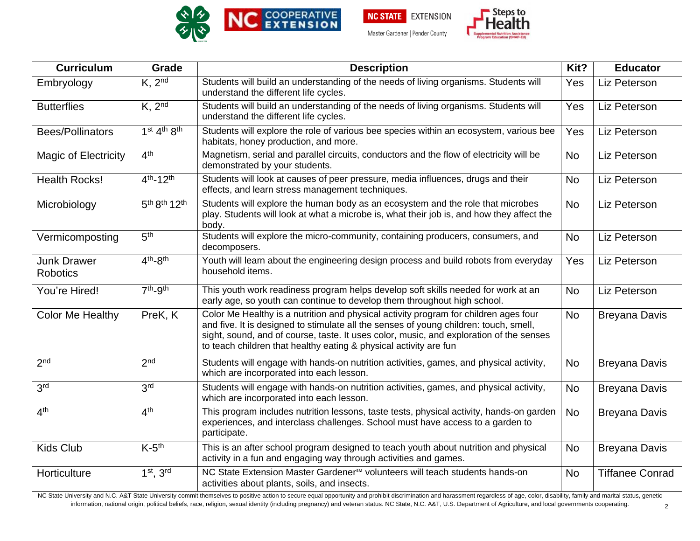



| <b>Curriculum</b>                     | Grade                                            | <b>Description</b>                                                                                                                                                                                                                                                                                                                            | Kit?      | <b>Educator</b>        |
|---------------------------------------|--------------------------------------------------|-----------------------------------------------------------------------------------------------------------------------------------------------------------------------------------------------------------------------------------------------------------------------------------------------------------------------------------------------|-----------|------------------------|
| Embryology                            | $K$ , $2nd$                                      | Students will build an understanding of the needs of living organisms. Students will<br>understand the different life cycles.                                                                                                                                                                                                                 | Yes       | Liz Peterson           |
| <b>Butterflies</b>                    | $K$ , $2nd$                                      | Students will build an understanding of the needs of living organisms. Students will<br>understand the different life cycles.                                                                                                                                                                                                                 | Yes       | Liz Peterson           |
| Bees/Pollinators                      | $1st 4th 8th$                                    | Students will explore the role of various bee species within an ecosystem, various bee<br>habitats, honey production, and more.                                                                                                                                                                                                               | Yes       | Liz Peterson           |
| <b>Magic of Electricity</b>           | 4 <sup>th</sup>                                  | Magnetism, serial and parallel circuits, conductors and the flow of electricity will be<br>demonstrated by your students.                                                                                                                                                                                                                     | <b>No</b> | Liz Peterson           |
| <b>Health Rocks!</b>                  | $4^{th} - 12^{th}$                               | Students will look at causes of peer pressure, media influences, drugs and their<br>effects, and learn stress management techniques.                                                                                                                                                                                                          | <b>No</b> | Liz Peterson           |
| Microbiology                          | 5 <sup>th</sup> 8 <sup>th</sup> 12 <sup>th</sup> | Students will explore the human body as an ecosystem and the role that microbes<br>play. Students will look at what a microbe is, what their job is, and how they affect the<br>body.                                                                                                                                                         | <b>No</b> | Liz Peterson           |
| Vermicomposting                       | 5 <sup>th</sup>                                  | Students will explore the micro-community, containing producers, consumers, and<br>decomposers.                                                                                                                                                                                                                                               | <b>No</b> | Liz Peterson           |
| <b>Junk Drawer</b><br><b>Robotics</b> | $4th-8th$                                        | Youth will learn about the engineering design process and build robots from everyday<br>household items.                                                                                                                                                                                                                                      | Yes       | Liz Peterson           |
| You're Hired!                         | $7th-9th$                                        | This youth work readiness program helps develop soft skills needed for work at an<br>early age, so youth can continue to develop them throughout high school.                                                                                                                                                                                 | <b>No</b> | Liz Peterson           |
| <b>Color Me Healthy</b>               | PreK, K                                          | Color Me Healthy is a nutrition and physical activity program for children ages four<br>and five. It is designed to stimulate all the senses of young children: touch, smell,<br>sight, sound, and of course, taste. It uses color, music, and exploration of the senses<br>to teach children that healthy eating & physical activity are fun | <b>No</b> | <b>Breyana Davis</b>   |
| $2^{\overline{nd}}$                   | 2 <sub>nd</sub>                                  | Students will engage with hands-on nutrition activities, games, and physical activity,<br>which are incorporated into each lesson.                                                                                                                                                                                                            | <b>No</b> | <b>Breyana Davis</b>   |
| 3 <sup>rd</sup>                       | 3 <sup>rd</sup>                                  | Students will engage with hands-on nutrition activities, games, and physical activity,<br>which are incorporated into each lesson.                                                                                                                                                                                                            | <b>No</b> | <b>Breyana Davis</b>   |
| 4 <sup>th</sup>                       | 4 <sup>th</sup>                                  | This program includes nutrition lessons, taste tests, physical activity, hands-on garden<br>experiences, and interclass challenges. School must have access to a garden to<br>participate.                                                                                                                                                    | <b>No</b> | <b>Breyana Davis</b>   |
| <b>Kids Club</b>                      | $K-5$ <sup>th</sup>                              | This is an after school program designed to teach youth about nutrition and physical<br>activity in a fun and engaging way through activities and games.                                                                                                                                                                                      | <b>No</b> | <b>Breyana Davis</b>   |
| Horticulture                          | $1st$ , $3rd$                                    | NC State Extension Master Gardener <sup>5M</sup> volunteers will teach students hands-on<br>activities about plants, soils, and insects.                                                                                                                                                                                                      | <b>No</b> | <b>Tiffanee Conrad</b> |

NC State University and N.C. A&T State University commit themselves to positive action to secure equal opportunity and prohibit discrimination and harassment regardless of age, color, disability, family and marital status, information, national origin, political beliefs, race, religion, sexual identity (including pregnancy) and veteran status. NC State, N.C. A&T, U.S. Department of Agriculture, and local governments cooperating.